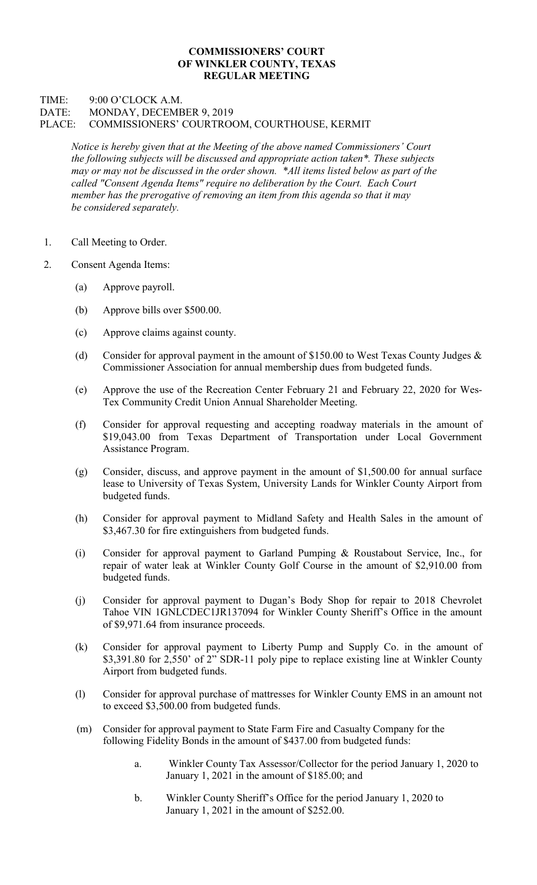## COMMISSIONERS' COURT OF WINKLER COUNTY, TEXAS REGULAR MEETING

## TIME: 9:00 O'CLOCK A.M. DATE: MONDAY, DECEMBER 9, 2019 PLACE: COMMISSIONERS' COURTROOM, COURTHOUSE, KERMIT

Notice is hereby given that at the Meeting of the above named Commissioners' Court the following subjects will be discussed and appropriate action taken\*. These subjects may or may not be discussed in the order shown. \*All items listed below as part of the called "Consent Agenda Items" require no deliberation by the Court. Each Court member has the prerogative of removing an item from this agenda so that it may be considered separately.

- 1. Call Meeting to Order.
- 2. Consent Agenda Items:
	- (a) Approve payroll.
	- (b) Approve bills over \$500.00.
	- (c) Approve claims against county.
	- (d) Consider for approval payment in the amount of \$150.00 to West Texas County Judges  $\&$ Commissioner Association for annual membership dues from budgeted funds.
	- (e) Approve the use of the Recreation Center February 21 and February 22, 2020 for Wes-Tex Community Credit Union Annual Shareholder Meeting.
	- (f) Consider for approval requesting and accepting roadway materials in the amount of \$19,043.00 from Texas Department of Transportation under Local Government Assistance Program.
	- (g) Consider, discuss, and approve payment in the amount of \$1,500.00 for annual surface lease to University of Texas System, University Lands for Winkler County Airport from budgeted funds.
	- (h) Consider for approval payment to Midland Safety and Health Sales in the amount of \$3,467.30 for fire extinguishers from budgeted funds.
	- (i) Consider for approval payment to Garland Pumping & Roustabout Service, Inc., for repair of water leak at Winkler County Golf Course in the amount of \$2,910.00 from budgeted funds.
	- (j) Consider for approval payment to Dugan's Body Shop for repair to 2018 Chevrolet Tahoe VIN 1GNLCDEC1JR137094 for Winkler County Sheriff's Office in the amount of \$9,971.64 from insurance proceeds.
	- (k) Consider for approval payment to Liberty Pump and Supply Co. in the amount of \$3,391.80 for 2,550' of 2" SDR-11 poly pipe to replace existing line at Winkler County Airport from budgeted funds.
	- (l) Consider for approval purchase of mattresses for Winkler County EMS in an amount not to exceed \$3,500.00 from budgeted funds.
	- (m) Consider for approval payment to State Farm Fire and Casualty Company for the following Fidelity Bonds in the amount of \$437.00 from budgeted funds:
		- a. Winkler County Tax Assessor/Collector for the period January 1, 2020 to January 1, 2021 in the amount of \$185.00; and
		- b. Winkler County Sheriff's Office for the period January 1, 2020 to January 1, 2021 in the amount of \$252.00.